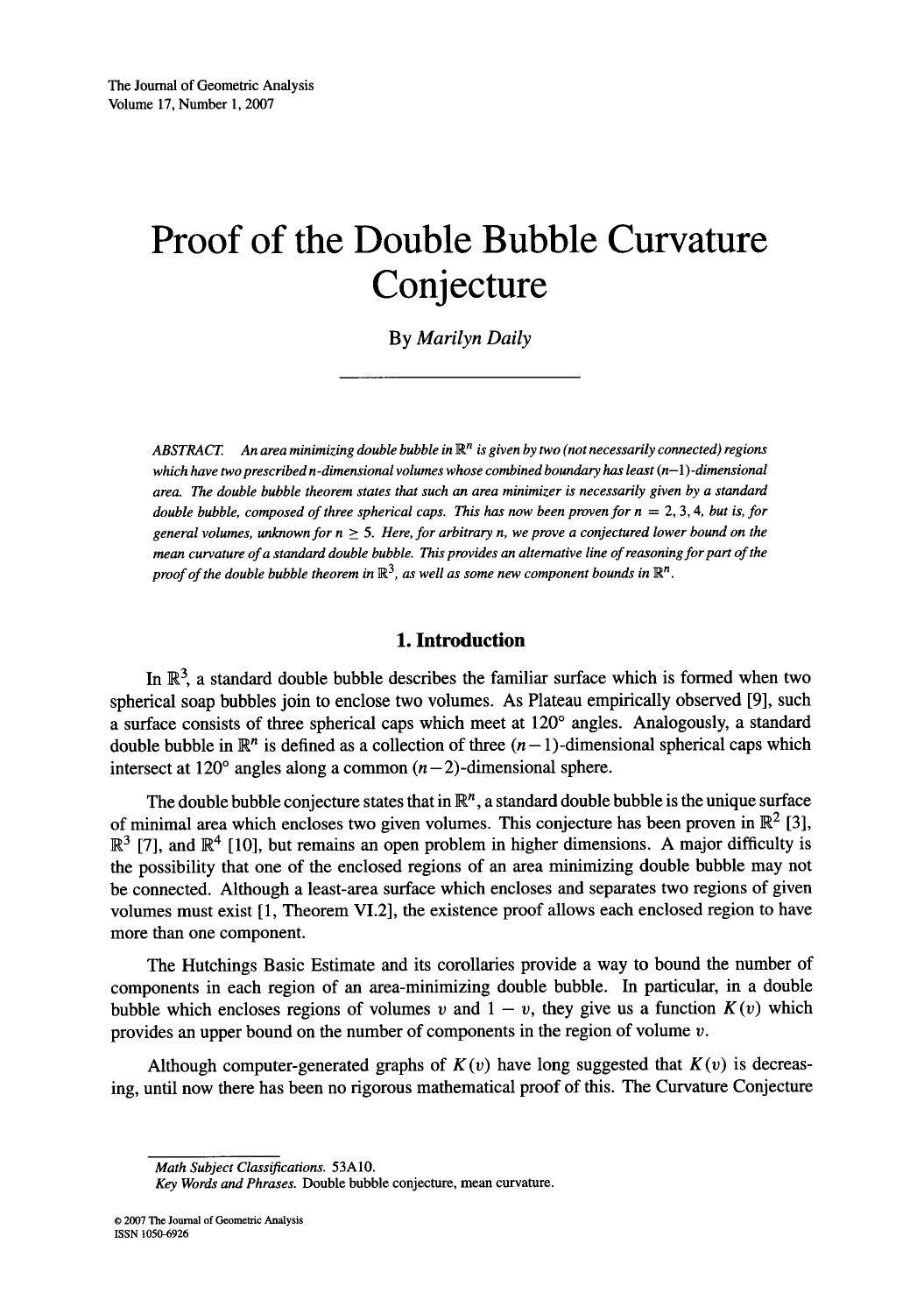# **Proof of the Double Bubble Curvature Conjecture**

By *Marilyn Daily* 

ABSTRACT. An area minimizing double bubble in  $\mathbb{R}^n$  is given by two (not necessarily connected) regions *which have two prescribed n -dimensional volumes whose combined boundary has least (n-l) -dimensional area. The double bubble theorem states that such an area minimizer is necessarily given by a standard double bubble, composed of three spherical caps. This has now been proven for*  $n = 2, 3, 4$ *, but is, for* general volumes, unknown for  $n > 5$ . Here, for arbitrary n, we prove a conjectured lower bound on the *mean curvature of a standard double bubble. This provides an alternative line of reasoning for part of the proof of the double bubble theorem in*  $\mathbb{R}^3$ , *as well as some new component bounds in*  $\mathbb{R}^n$ .

# **1. Introduction**

In  $\mathbb{R}^3$ , a standard double bubble describes the familiar surface which is formed when two spherical soap bubbles join to enclose two volumes. As Plateau empirically observed [9], such a surface consists of three spherical caps which meet at  $120^{\circ}$  angles. Analogously, a standard double bubble in  $\mathbb{R}^n$  is defined as a collection of three  $(n-1)$ -dimensional spherical caps which intersect at 120 $^{\circ}$  angles along a common  $(n-2)$ -dimensional sphere.

The double bubble conjecture states that in  $\mathbb{R}^n$ , a standard double bubble is the unique surface of minimal area which encloses two given volumes. This conjecture has been proven in  $\mathbb{R}^2$  [3],  $\mathbb{R}^3$  [7], and  $\mathbb{R}^4$  [10], but remains an open problem in higher dimensions. A major difficulty is the possibility that one of the enclosed regions of an area minimizing double bubble may not be connected. Although a least-area surface which encloses and separates two regions of given volumes must exist [1, Theorem VI.2], the existence proof allows each enclosed region to have more than one component.

The Hutchings Basic Estimate and its corollaries provide a way to bound the number of components in each region of an area-minimizing double bubble. In particular, in a double bubble which encloses regions of volumes v and  $1 - v$ , they give us a function  $K(v)$  which provides an upper bound on the number of components in the region of volume  $v$ .

Although computer-generated graphs of  $K(v)$  have long suggested that  $K(v)$  is decreasing, until now there has been no rigorous mathematical proof of this. The Curvature Conjecture

*Math Subject Classifications.* 53A10.

*Key Words and Phrases.* Double bubble conjecture, mean curvature.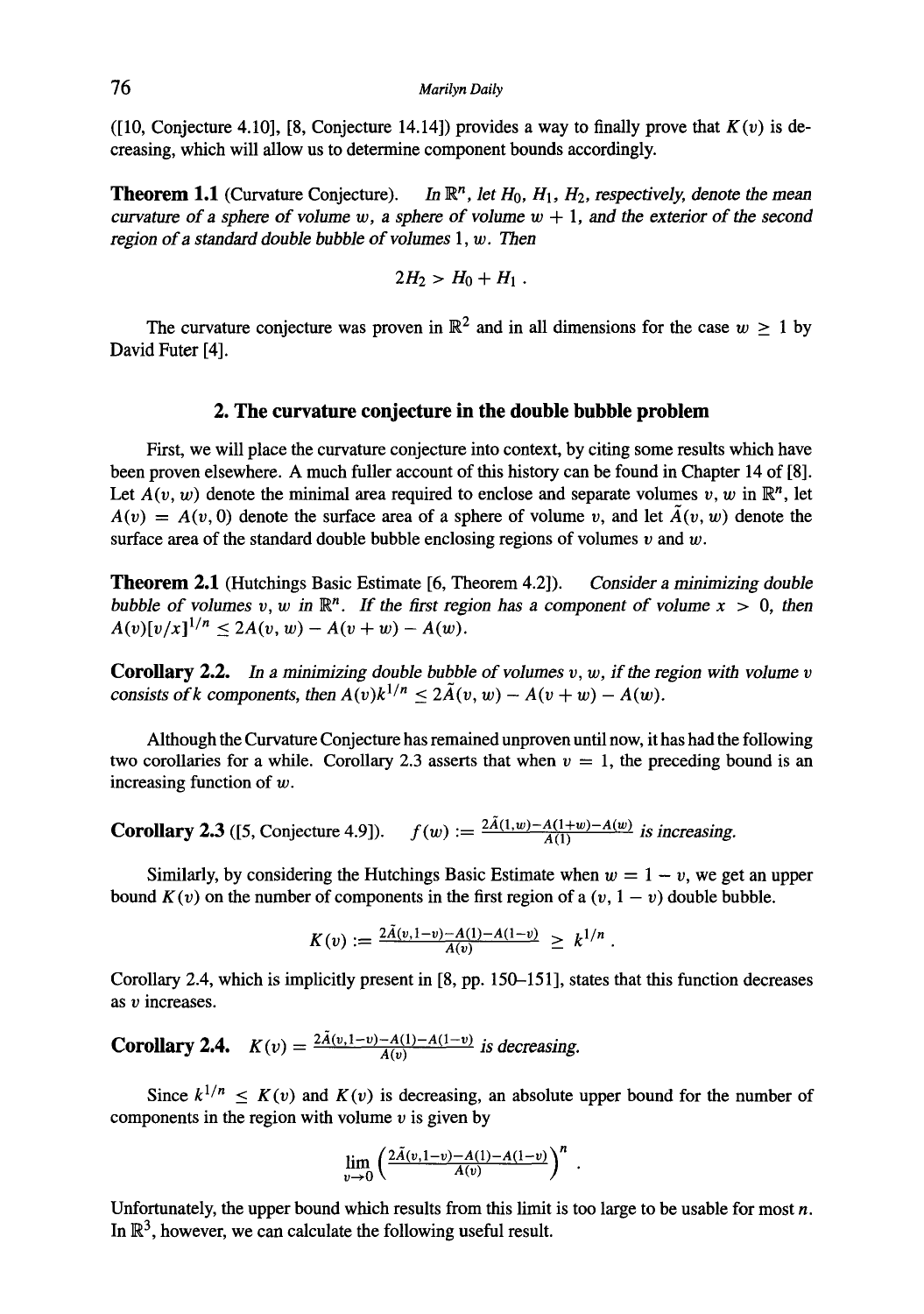([10, Conjecture 4.10], [8, Conjecture 14.14]) provides a way to finally prove that *K(v)* is decreasing, which will allow us to determine component bounds accordingly.

**Theorem 1.1** (Curvature Conjecture). *In*  $\mathbb{R}^n$ , *let*  $H_0$ ,  $H_1$ ,  $H_2$ , respectively, denote the mean *curvature of a sphere of volume w, a sphere of volume*  $w + 1$ *, and the exterior of the second region of a standard double bubble of volumes 1, w. Then* 

$$
2H_2 > H_0 + H_1.
$$

The curvature conjecture was proven in  $\mathbb{R}^2$  and in all dimensions for the case  $w \ge 1$  by David Futer [4].

### **2. The curvature conjecture in the double bubble problem**

First, we will place the curvature conjecture into context, by citing some results which have been proven elsewhere. A much fuller account of this history can be found in Chapter 14 of [8]. Let  $A(v, w)$  denote the minimal area required to enclose and separate volumes v, w in  $\mathbb{R}^n$ , let  $A(v) = A(v, 0)$  denote the surface area of a sphere of volume v, and let  $\tilde{A}(v, w)$  denote the surface area of the standard double bubble enclosing regions of volumes  $v$  and  $w$ .

**Theorem** 2.1 (Hutchings Basic Estimate [6, Theorem 4.2]). *Consider a minimizing double bubble of volumes v, w in*  $\mathbb{R}^n$ . If the first region has a component of volume  $x > 0$ , then  $A(v)[v/x]^{1/n} \leq 2A(v,w) - A(v+w) - A(w).$ 

**Corollary** 2.2. In a *minimizing double bubble of volumes v, w, if the region with volume v consists of k components, then*  $A(v)k^{1/n} \leq 2\tilde{A}(v, w) - A(v + w) - A(w)$ .

Although the Curvature Conjecture has remained unproven until now, it has had the following two corollaries for a while. Corollary 2.3 asserts that when  $v = 1$ , the preceding bound is an increasing function of w.

**Corollary 2.3** ([5, Conjecture 4.9]).  $f(w) := \frac{2\tilde{A}(1,w) - A(1+w) - A(w)}{\tilde{A}(1)}$  is increasing.

Similarly, by considering the Hutchings Basic Estimate when  $w = 1 - v$ , we get an upper bound  $K(v)$  on the number of components in the first region of a  $(v, 1 - v)$  double bubble.

$$
K(v) := \frac{2\tilde{A}(v, 1-v) - A(1) - A(1-v)}{A(v)} \geq k^{1/n}.
$$

Corollary 2.4, which is implicitly present in [8, pp. 150-151], states that this function decreases as v increases.

**Corollary 2.4.**  $K(v) = \frac{2\tilde{A}(v, 1-v) - A(1)-A(1-v)}{A(v)}$  is decreasing.

Since  $k^{1/n} \le K(v)$  and  $K(v)$  is decreasing, an absolute upper bound for the number of components in the region with volume  $\nu$  is given by

$$
\lim_{v\to 0}\left(\frac{2\tilde{A}(v,1-v)-A(1)-A(1-v)}{A(v)}\right)^n.
$$

Unfortunately, the upper bound which results from this limit is too large to be usable for most  $n$ . In  $\mathbb{R}^3$ , however, we can calculate the following useful result.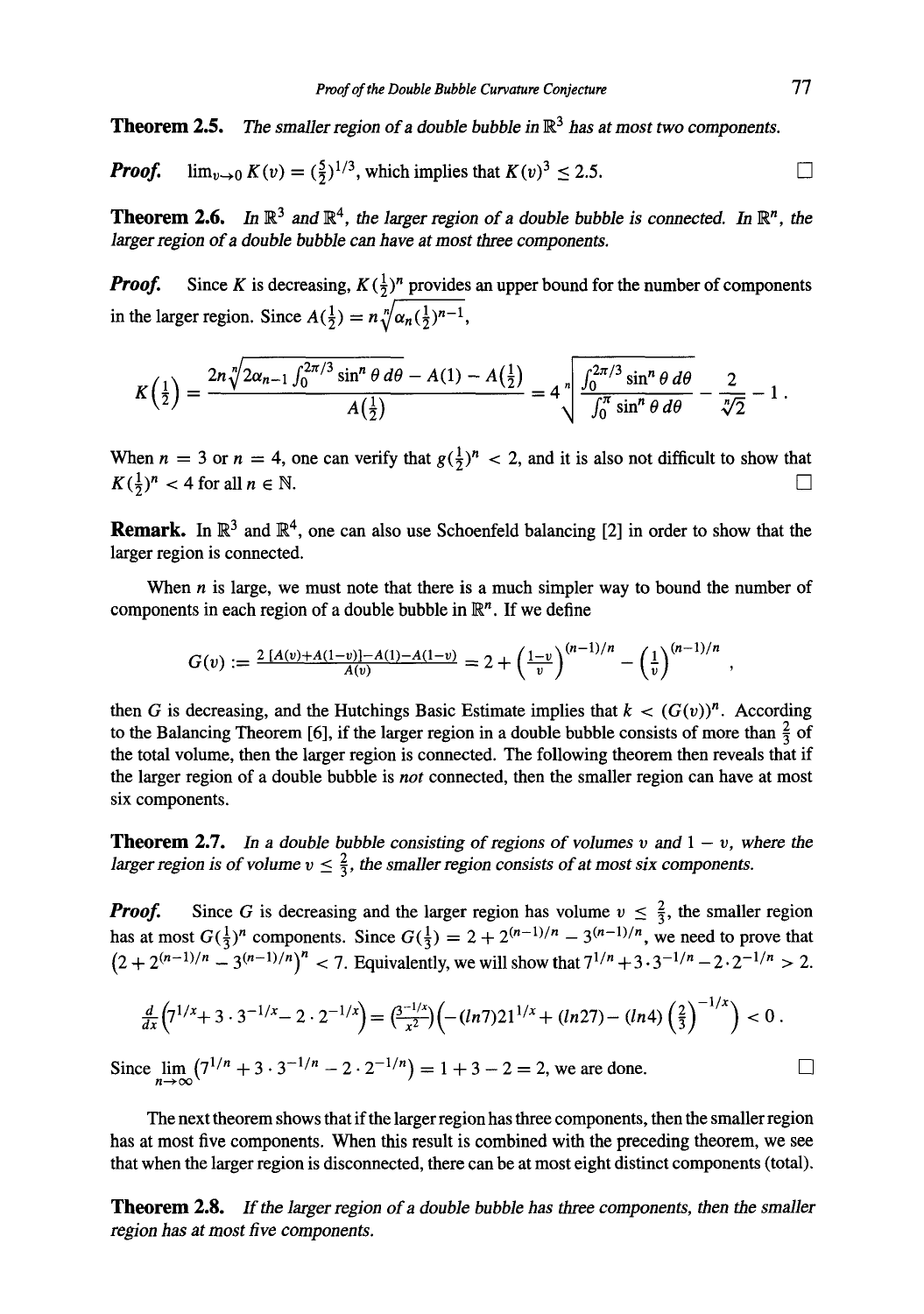**Theorem 2.5.** *The smaller region of a double bubble in*  $\mathbb{R}^3$  *has at most two components.* 

**Proof.** 
$$
\lim_{v \to 0} K(v) = (\frac{5}{2})^{1/3}
$$
, which implies that  $K(v)^3 \leq 2.5$ .

**Theorem 2.6,** In  $\mathbb{R}^3$  and  $\mathbb{R}^4$ , the *larger region of a double bubble is connected. In*  $\mathbb{R}^n$ , the *larger region of a double bubble can have at most three components.* 

*Proof.* Since K is decreasing,  $K(\frac{1}{2})^n$  provides an upper bound for the number of components in the larger region. Since  $A(\frac{1}{2}) = n \sqrt[n]{\alpha_n(\frac{1}{2})^{n-1}}$ ,

$$
K\left(\frac{1}{2}\right) = \frac{2n\sqrt[7]{2\alpha_{n-1}\int_0^{2\pi/3}\sin^n\theta\,d\theta} - A(1) - A\left(\frac{1}{2}\right)}{A\left(\frac{1}{2}\right)} = 4\sqrt[7]{\frac{\int_0^{2\pi/3}\sin^n\theta\,d\theta}{\int_0^{\pi}\sin^n\theta\,d\theta}} - \frac{2}{\sqrt[7]{2}} - 1.
$$

When  $n = 3$  or  $n = 4$ , one can verify that  $g(\frac{1}{2})^n < 2$ , and it is also not difficult to show that  $K(\frac{1}{2})^n < 4$  for all  $n \in \mathbb{N}$ .

**Remark.** In  $\mathbb{R}^3$  and  $\mathbb{R}^4$ , one can also use Schoenfeld balancing [2] in order to show that the larger region is connected.

When  $n$  is large, we must note that there is a much simpler way to bound the number of components in each region of a double bubble in  $\mathbb{R}^n$ . If we define

$$
G(v) := \frac{2\left[A(v) + A(1-v)\right] - A(1) - A(1-v)}{A(v)} = 2 + \left(\frac{1-v}{v}\right)^{(n-1)/n} - \left(\frac{1}{v}\right)^{(n-1)/n},
$$

then G is decreasing, and the Hutchings Basic Estimate implies that  $k < (G(v))^n$ . According to the Balancing Theorem [6], if the larger region in a double bubble consists of more than  $\frac{2}{3}$  of the total volume, then the larger region is connected. The following theorem then reveals that if the larger region of a double bubble is *not* connected, then the smaller region can have at most six components.

**Theorem 2.7.** In a double bubble consisting of regions of volumes v and  $1 - v$ , where the *larger region is of volume*  $v \leq \frac{2}{3}$ *, the smaller region consists of at most six components.* 

*Proof.* Since G is decreasing and the larger region has volume  $v \leq \frac{2}{3}$ , the smaller region has at most  $G(\frac{1}{2})^n$  components. Since  $G(\frac{1}{2}) = 2 + 2^{(n-1)/n} - 3^{(n-1)/n}$ , we need to prove that  $(2 + 2^{(n-1)/n} - 3^{(n-1)/n})^n < 7$ . Equivalently, we will show that  $7^{1/n} + 3 \cdot 3^{-1/n} - 2 \cdot 2^{-1/n} > 2$ .

$$
\frac{d}{dx}\left(7^{1/x}+3\cdot 3^{-1/x}-2\cdot 2^{-1/x}\right)=\left(\frac{3^{-1/x}}{x^2}\right)\left(-(ln 7)21^{1/x}+(ln 27)-(ln 4)\left(\frac{2}{3}\right)^{-1/x}\right)<0.
$$

Since  $\lim_{n \to \infty} (7^{1/n} + 3 \cdot 3^{-1/n} - 2 \cdot 2^{-1/n}) = 1 + 3 - 2 = 2$ , we are done.

The next theorem shows that if the larger region has three components, then the smaller region has at most five components. When this result is combined with the preceding theorem, we see that when the larger region is disconnected, there can be at most eight distinct components (total).

**Theorem 2.8.** If the larger region of a double bubble has three components, then the smaller *region has at most five components.*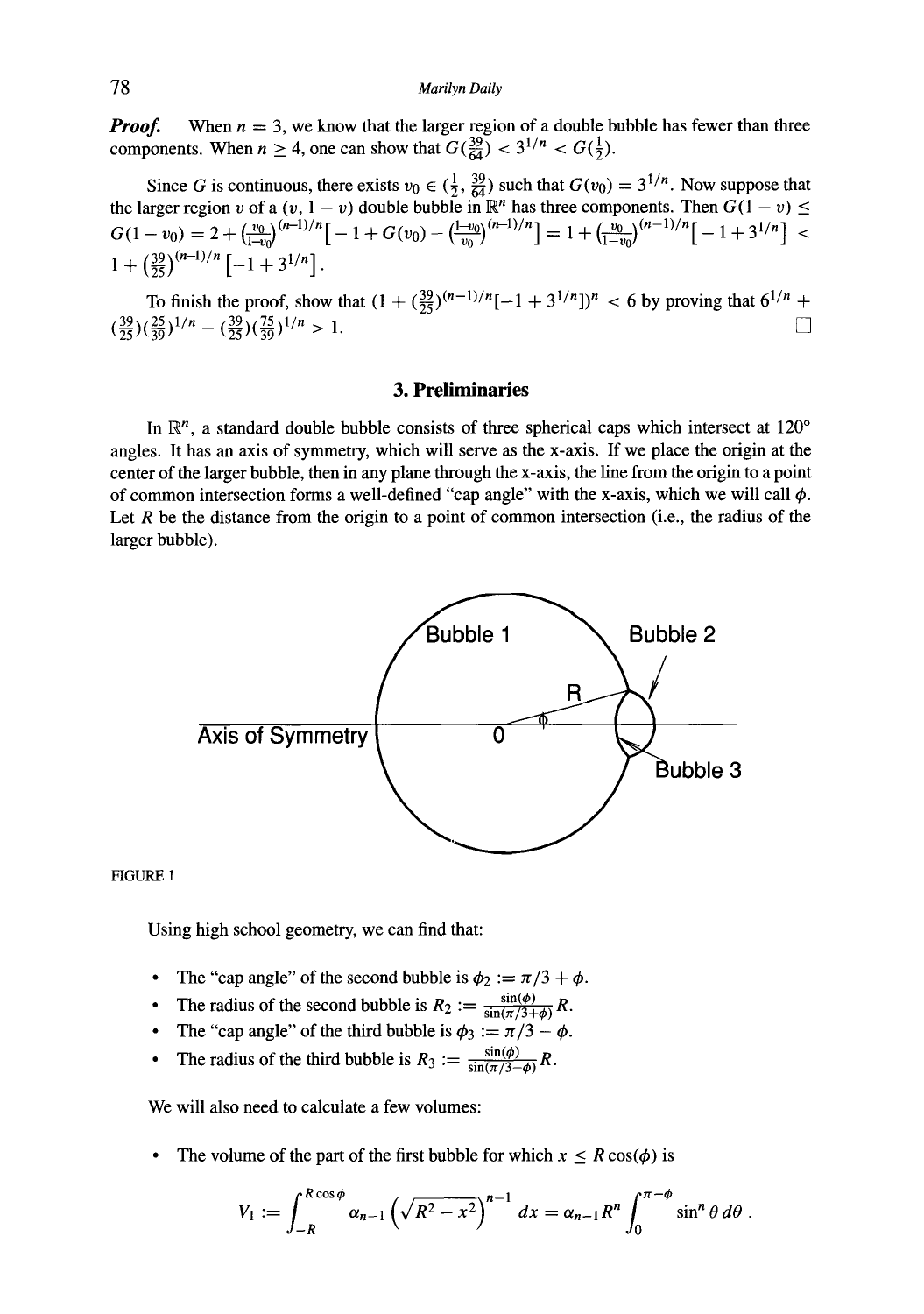*Proof.* When  $n = 3$ , we know that the larger region of a double bubble has fewer than three components. When  $n \geq 4$ , one can show that  $G(\frac{39}{64}) < 3^{1/n} < G(\frac{1}{2})$ .

Since G is continuous, there exists  $v_0 \in (\frac{1}{2}, \frac{32}{64})$  such that  $G(v_0) = 3^{1/n}$ . Now suppose that the larger region v of a  $(v, 1 - v)$  double bubble in  $\mathbb{R}^n$  has three components. Then  $G(1 - v) \leq$  $G(1-v_0) = 2 + \left(\frac{v_0}{r_0}\right)^{(n-1)/n} \left| -1 + G(v_0) - \left(\frac{1-v_0}{r_0}\right)^{(n-1)/n} \right| = 1 + \left(\frac{v_0}{r_0}\right)^{(n-1)/n} \left| -1 + 3^{1/n} \right| <$  $1 + \left(\frac{39}{25}\right)^{(n-1)/n} \left[-1 + 3^{1/n}\right]$ .

To finish the proof, show that  $(1 + (\frac{32}{25})^{(n-1)/n}[-1 + 3^{1/n}]^n < 6$  by proving that  $6^{1/n}$  +  $(\frac{39}{25})(\frac{25}{39})^{1/n} - (\frac{39}{25})(\frac{75}{39})^{1/n} > 1.$ 

# **3. Preliminaries**

In  $\mathbb{R}^n$ , a standard double bubble consists of three spherical caps which intersect at 120 $\degree$ angles. It has an axis of symmetry, which will serve as the x-axis. If we place the origin at the center of the larger bubble, then in any plane through the x-axis, the line from the origin to a point of common intersection forms a well-defined "cap angle" with the x-axis, which we will call  $\phi$ . Let R be the distance from the origin to a point of common intersection (i.e., the radius of the larger bubble).



FIGURE 1

Using high school geometry, we can find that:

- The "cap angle" of the second bubble is  $\phi_2 := \pi/3 + \phi$ .
- The radius of the second bubble is  $R_2 := \frac{\sin(\phi)}{\sin(\pi/3+\phi)} R$ .
- The "cap angle" of the third bubble is  $\phi_3 := \pi/3 \phi$ .
- The radius of the third bubble is  $R_3 := \frac{\sin(\phi)}{\sin(\pi/3-\phi)} R$ .

We will also need to calculate a few volumes:

The volume of the part of the first bubble for which  $x < R \cos(\phi)$  is

$$
V_1 := \int_{-R}^{R\cos\phi} \alpha_{n-1} \left(\sqrt{R^2-x^2}\right)^{n-1} dx = \alpha_{n-1}R^n \int_0^{\pi-\phi} \sin^n\theta \,d\theta.
$$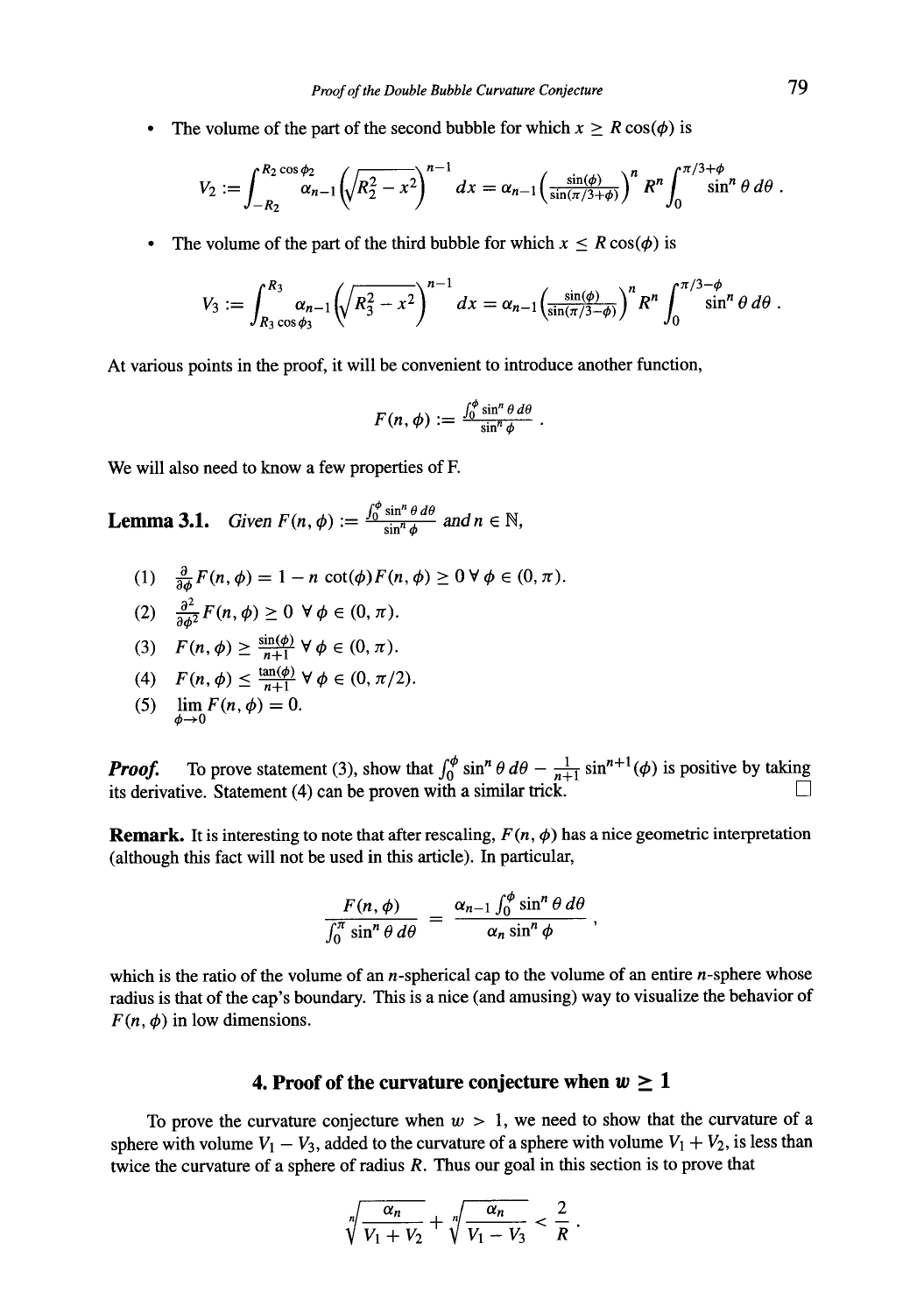The volume of the part of the second bubble for which  $x > R \cos(\phi)$  is

$$
V_2 := \int_{-R_2}^{R_2 \cos \phi_2} \alpha_{n-1} \left( \sqrt{R_2^2 - x^2} \right)^{n-1} dx = \alpha_{n-1} \left( \frac{\sin(\phi)}{\sin(\pi/3 + \phi)} \right)^n R^n \int_0^{\pi/3 + \phi} \sin^n \theta \, d\theta \, .
$$

The volume of the part of the third bubble for which  $x < R \cos(\phi)$  is

$$
V_3 := \int_{R_3 \cos \phi_3}^{R_3} \alpha_{n-1} \left( \sqrt{R_3^2 - x^2} \right)^{n-1} dx = \alpha_{n-1} \left( \frac{\sin(\phi)}{\sin(\pi/3 - \phi)} \right)^n R^n \int_0^{\pi/3 - \phi} \sin^n \theta \, d\theta \, .
$$

At various points in the proof, it will be convenient to introduce another function,

$$
F(n,\phi) := \frac{\int_0^{\phi} \sin^n \theta \, d\theta}{\sin^n \phi}.
$$

We will also need to know a few properties of F.

**Lemma 3.1.** *Given*  $F(n, \phi) := \frac{\int_0^{\phi} \sin^n \theta \, d\theta}{\sin^n \phi}$  and  $n \in \mathbb{N}$ ,

- (1)  $\frac{\partial}{\partial \phi}F(n,\phi) = 1 n \cot(\phi)F(n,\phi) \ge 0 \,\forall \phi \in (0,\pi).$
- (2)  $\frac{\partial^2}{\partial \phi^2} F(n, \phi) \ge 0 \ \forall \phi \in (0, \pi).$
- (3)  $F(n, \phi) \ge \frac{\sin(\phi)}{n+1} \forall \phi \in (0, \pi).$
- (4)  $F(n, \phi) \leq \frac{\tan(\phi)}{n+1} \,\forall \phi \in (0, \pi/2).$
- (5)  $\lim_{\phi \to 0} F(n, \phi) = 0.$

*Proof.* To prove statement (3), show that  $\int_0^{\phi} \sin^n \theta \, d\theta - \frac{1}{n+1} \sin^{n+1}(\phi)$  is positive by taking its derivative. Statement  $(4)$  can be proven with a similar trick.

**Remark.** It is interesting to note that after rescaling,  $F(n, \phi)$  has a nice geometric interpretation (although this fact will not be used in this article). In particular,

$$
\frac{F(n,\phi)}{\int_0^{\pi} \sin^n \theta \, d\theta} = \frac{\alpha_{n-1} \int_0^{\phi} \sin^n \theta \, d\theta}{\alpha_n \sin^n \phi},
$$

which is the ratio of the volume of an  $n$ -spherical cap to the volume of an entire  $n$ -sphere whose radius is that of the cap's boundary. This is a nice (and amusing) way to visualize the behavior of  $F(n, \phi)$  in low dimensions.

# **4. Proof of the curvature conjecture when**  $w \ge 1$

To prove the curvature conjecture when  $w > 1$ , we need to show that the curvature of a sphere with volume  $V_1 - V_3$ , added to the curvature of a sphere with volume  $V_1 + V_2$ , is less than twice the curvature of a sphere of radius  $R$ . Thus our goal in this section is to prove that

$$
\sqrt[n]{\frac{\alpha_n}{V_1+V_2}}+\sqrt[n]{\frac{\alpha_n}{V_1-V_3}}<\frac{2}{R}.
$$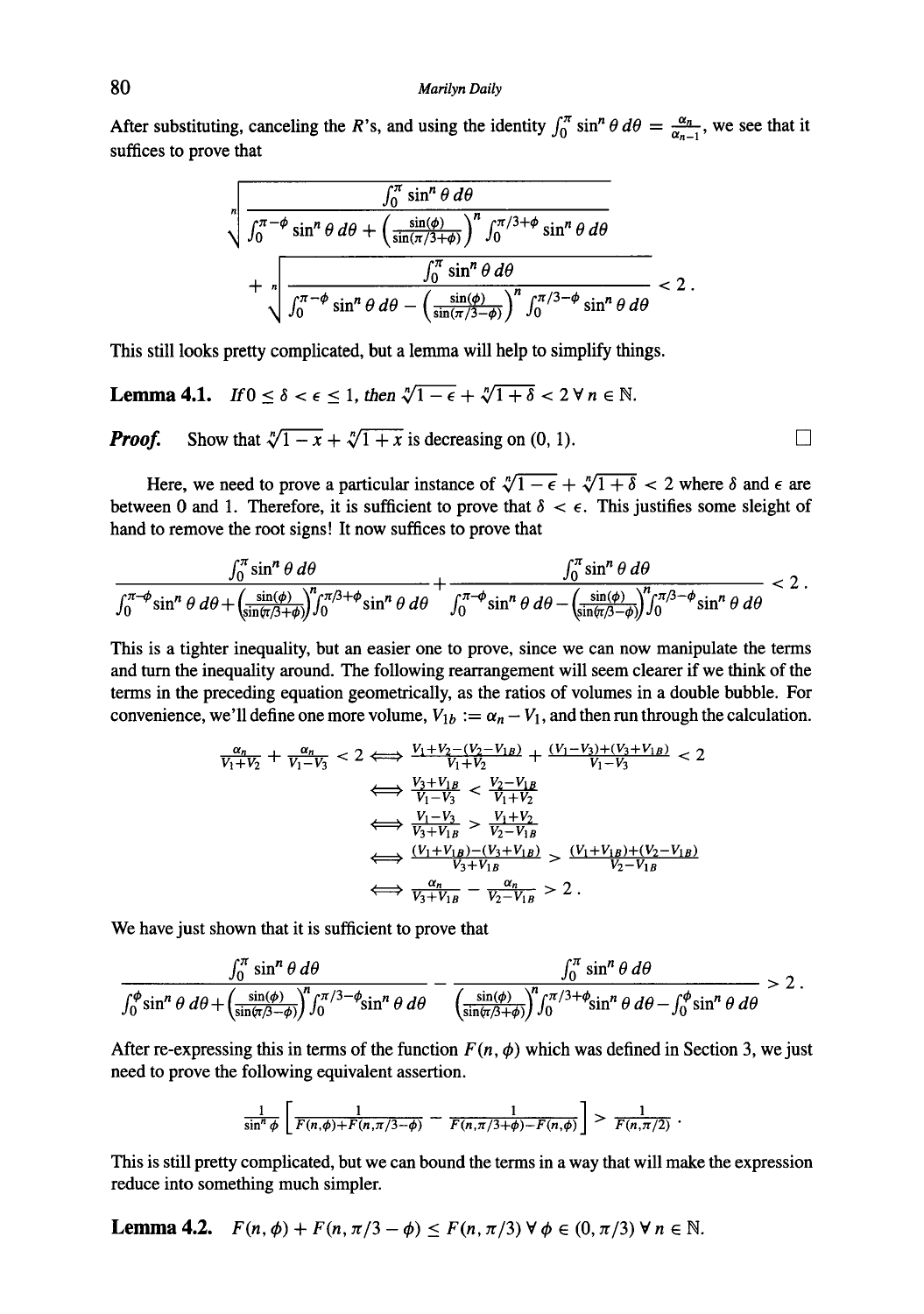After substituting, canceling the R's, and using the identity  $\int_0^{\cdot} \sin^n \theta d\theta = \frac{a_n}{\alpha_{n-1}}$ , we see that it suffices to prove that

$$
\sqrt[n]{\frac{\int_0^{\pi} \sin^n \theta \, d\theta}{\int_0^{\pi-\phi} \sin^n \theta \, d\theta + \left(\frac{\sin(\phi)}{\sin(\pi/3+\phi)}\right)^n \int_0^{\pi/3+\phi} \sin^n \theta \, d\theta}} + \sqrt[n]{\frac{\int_0^{\pi} \sin^n \theta \, d\theta}{\int_0^{\pi-\phi} \sin^n \theta \, d\theta - \left(\frac{\sin(\phi)}{\sin(\pi/3-\phi)}\right)^n \int_0^{\pi/3-\phi} \sin^n \theta \, d\theta}} < 2.
$$

This still looks pretty complicated, but a lemma will help to simplify things.

**Lemma 4.1.** *If*  $0 \le \delta < \epsilon \le 1$ , then  $\sqrt[n]{1-\epsilon} + \sqrt[n]{1+\delta} < 2 \forall n \in \mathbb{N}$ .

*Proof.* Show that  $\sqrt[n]{1-x} + \sqrt[n]{1+x}$  is decreasing on  $(0, 1)$ .

Here, we need to prove a particular instance of  $\sqrt[n]{1-\epsilon} + \sqrt[n]{1+\delta} < 2$  where  $\delta$  and  $\epsilon$  are between 0 and 1. Therefore, it is sufficient to prove that  $\delta < \epsilon$ . This justifies some sleight of hand to remove the root signs! It now suffices to prove that

$$
\frac{\int_0^{\pi} \sin^n \theta \, d\theta}{\int_0^{\pi-\phi} \sin^n \theta \, d\theta + \left(\frac{\sin(\phi)}{\sin(\pi/3+\phi)}\right)^n \int_0^{\pi/3+\phi} \sin^n \theta \, d\theta} + \frac{\int_0^{\pi} \sin^n \theta \, d\theta}{\int_0^{\pi-\phi} \sin^n \theta \, d\theta - \left(\frac{\sin(\phi)}{\sin(\pi/3-\phi)}\right)^n \int_0^{\pi/3-\phi} \sin^n \theta \, d\theta} < 2.
$$

This is a tighter inequality, but an easier one to prove, since we can now manipulate the terms and turn the inequality around. The following rearrangement will seem clearer if we think of the terms in the preceding equation geometrically, as the ratios of volumes in a double bubble. For convenience, we'll define one more volume,  $V_{1b} := \alpha_n - V_1$ , and then run through the calculation.

$$
\frac{\alpha_n}{V_1 + V_2} + \frac{\alpha_n}{V_1 - V_3} < 2 \Longleftrightarrow \frac{V_1 + V_2 - (V_2 - V_{1B})}{V_1 + V_2} + \frac{(V_1 - V_3) + (V_3 + V_{1B})}{V_1 - V_3} < 2
$$
\n
$$
\iff \frac{V_3 + V_{1B}}{V_1 - V_3} < \frac{V_2 - V_{1B}}{V_1 + V_2}
$$
\n
$$
\iff \frac{V_1 - V_3}{V_3 + V_{1B}} > \frac{V_1 + V_2}{V_2 - V_{1B}}
$$
\n
$$
\iff \frac{(V_1 + V_{1B}) - (V_3 + V_{1B})}{V_3 + V_{1B}} > \frac{(V_1 + V_{1B}) + (V_2 - V_{1B})}{V_2 - V_{1B}}
$$
\n
$$
\iff \frac{\alpha_n}{V_3 + V_{1B}} - \frac{\alpha_n}{V_2 - V_{1B}} > 2.
$$

We have just shown that it is sufficient to prove that

$$
\frac{\int_0^{\pi} \sin^n \theta \, d\theta}{\int_0^{\phi} \sin^n \theta \, d\theta + \left(\frac{\sin(\phi)}{\sin(\pi/3 - \phi)}\right)^n \int_0^{\pi/3 - \phi} \sin^n \theta \, d\theta} - \frac{\int_0^{\pi} \sin^n \theta \, d\theta}{\left(\frac{\sin(\phi)}{\sin(\pi/3 + \phi)}\right)^n \int_0^{\pi/3 + \phi} \sin^n \theta \, d\theta - \int_0^{\phi} \sin^n \theta \, d\theta} > 2
$$

After re-expressing this in terms of the function  $F(n, \phi)$  which was defined in Section 3, we just need to prove the following equivalent assertion.

$$
\frac{1}{\sin^n \phi} \left[ \frac{1}{F(n,\phi) + F(n,\pi/3-\phi)} - \frac{1}{F(n,\pi/3+\phi) - F(n,\phi)} \right] > \frac{1}{F(n,\pi/2)}.
$$

This is still pretty complicated, but we can bound the terms in a way that will make the expression reduce into something much simpler.

**Lemma 4.2.**  $F(n, \phi) + F(n, \pi/3 - \phi) \leq F(n, \pi/3) \forall \phi \in (0, \pi/3) \forall n \in \mathbb{N}$ .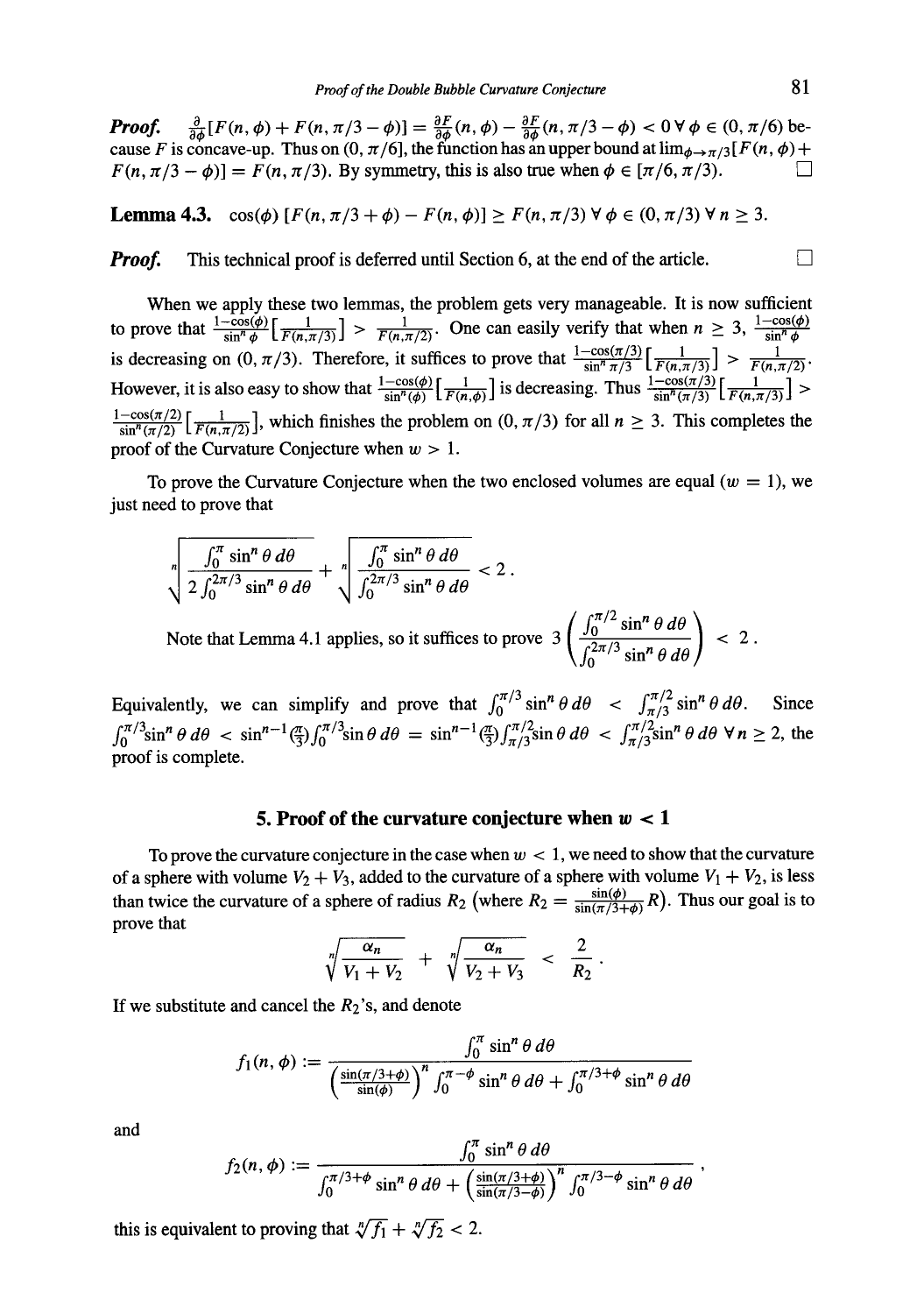*Proof.*  $\frac{\sigma}{2a} [F(n,\phi) + F(n,\pi/3-\phi)] = \frac{\sigma F}{2a}(n,\phi) - \frac{\sigma F}{2a}(n,\pi/3-\phi) < 0 \forall \phi \in (0,\pi/6)$  because F is concave-up. Thus on  $(0, \pi/6]$ , the function has an upper bound at  $\lim_{\phi \to \pi/3} [F(n, \phi) +$  $F(n, \pi/3 - \phi)$ ] =  $F(n, \pi/3)$ . By symmetry, this is also true when  $\phi \in [\pi/6, \pi/3)$ .

**Lemma 4.3.**  $\cos(\phi) [F(n, \pi/3 + \phi) - F(n, \phi)] \ge F(n, \pi/3) \forall \phi \in (0, \pi/3) \forall n > 3.$ 

*Proof.* This technical proof is deferred until Section 6, at the end of the article.

When we apply these two lemmas, the problem gets very manageable. It is now sufficient to prove that  $\frac{1-\cos(\phi)}{\sin^n \phi} \left[ \frac{1}{F(n,\pi/3)} \right] > \frac{1}{F(n,\pi/2)}$ . One can easily verify that when  $n \geq 3$ ,  $\frac{1-\cos(\phi)}{\sin^n \phi}$ is decreasing on  $(0, \pi/3)$ . Therefore, it suffices to prove that  $\frac{1-\cos(\pi/3)}{\sin^2 \pi/3} \left[\frac{1}{F(n,\pi/3)}\right] > \frac{1}{F(n,\pi/2)}$ . However, it is also easy to show that  $\frac{1-\cos(\theta)}{\sin^2(\theta)}\left(\frac{1}{E(n,d)}\right)$  is decreasing. Thus  $\frac{\cos(\theta/2)}{\sin^2(\theta/3)}\left(\frac{1}{E(n,\pi/3)}\right)$  >  $\frac{1-\cos(\pi/2)}{\sin^{n}(\pi/2)}\left[\frac{1}{F(n,\pi/2)}\right]$ , which finishes the problem on  $(0, \pi/3)$  for all  $n \geq 3$ . This completes the proof of the Curvature Conjecture when  $w > 1$ .

To prove the Curvature Conjecture when the two enclosed volumes are equal ( $w = 1$ ), we just need to prove that

$$
\sqrt[n]{\frac{\int_0^{\pi} \sin^n \theta \, d\theta}{2 \int_0^{2\pi/3} \sin^n \theta \, d\theta}} + \sqrt[n]{\frac{\int_0^{\pi} \sin^n \theta \, d\theta}{\int_0^{2\pi/3} \sin^n \theta \, d\theta}} < 2.
$$
  
Note that Lemma 4.1 applies, so it suffices to prove 
$$
3 \left( \frac{\int_0^{\pi/2} \sin^n \theta \, d\theta}{\int_0^{2\pi/3} \sin^n \theta \, d\theta} \right) < 2
$$

Equivalently, we can simplify and prove that  $\int_0^{\pi/3} \sin^n \theta \, d\theta < \int_{\pi/3}^{\pi/2} \sin^n \theta \, d\theta$ . Since  $\int_0^{\pi/3} \sin^n \theta \, d\theta < \sin^{n-1} \left(\frac{\pi}{3}\right) \int_0^{\pi/3} \sin \theta \, d\theta = \sin^{n-1} \left(\frac{\pi}{3}\right) \int_{\pi/3}^{\pi/2} \sin \theta \, d\theta < \int_{\pi/3}^{\pi/2} \sin^n \theta \, d\theta \, \forall n \ge 2$ , the proof is complete.

#### **5. Proof of the curvature conjecture when**  $w < 1$

To prove the curvature conjecture in the case when  $w < 1$ , we need to show that the curvature of a sphere with volume  $V_2 + V_3$ , added to the curvature of a sphere with volume  $V_1 + V_2$ , is less than twice the curvature of a sphere of radius  $R_2$  (where  $R_2 = \frac{\sin(\phi)}{\sin(\pi/3 + \phi)} R$ ). Thus our goal is to prove that

$$
\sqrt[n]{\frac{\alpha_n}{V_1 + V_2}} + \sqrt[n]{\frac{\alpha_n}{V_2 + V_3}} < \frac{2}{R_2}.
$$

If we substitute and cancel the  $R_2$ 's, and denote

$$
f_1(n,\phi) := \frac{\int_0^{\pi} \sin^n \theta \, d\theta}{\left(\frac{\sin(\pi/3+\phi)}{\sin(\phi)}\right)^n \int_0^{\pi-\phi} \sin^n \theta \, d\theta + \int_0^{\pi/3+\phi} \sin^n \theta \, d\theta}
$$

**and** 

$$
f_2(n,\phi) := \frac{\int_0^n \sin^n \theta \, d\theta}{\int_0^{\pi/3+\phi} \sin^n \theta \, d\theta + \left(\frac{\sin(\pi/3+\phi)}{\sin(\pi/3-\phi)}\right)^n \int_0^{\pi/3-\phi} \sin^n \theta \, d\theta}
$$

this is equivalent to proving that  $\sqrt[n]{f_1} + \sqrt[n]{f_2} < 2$ .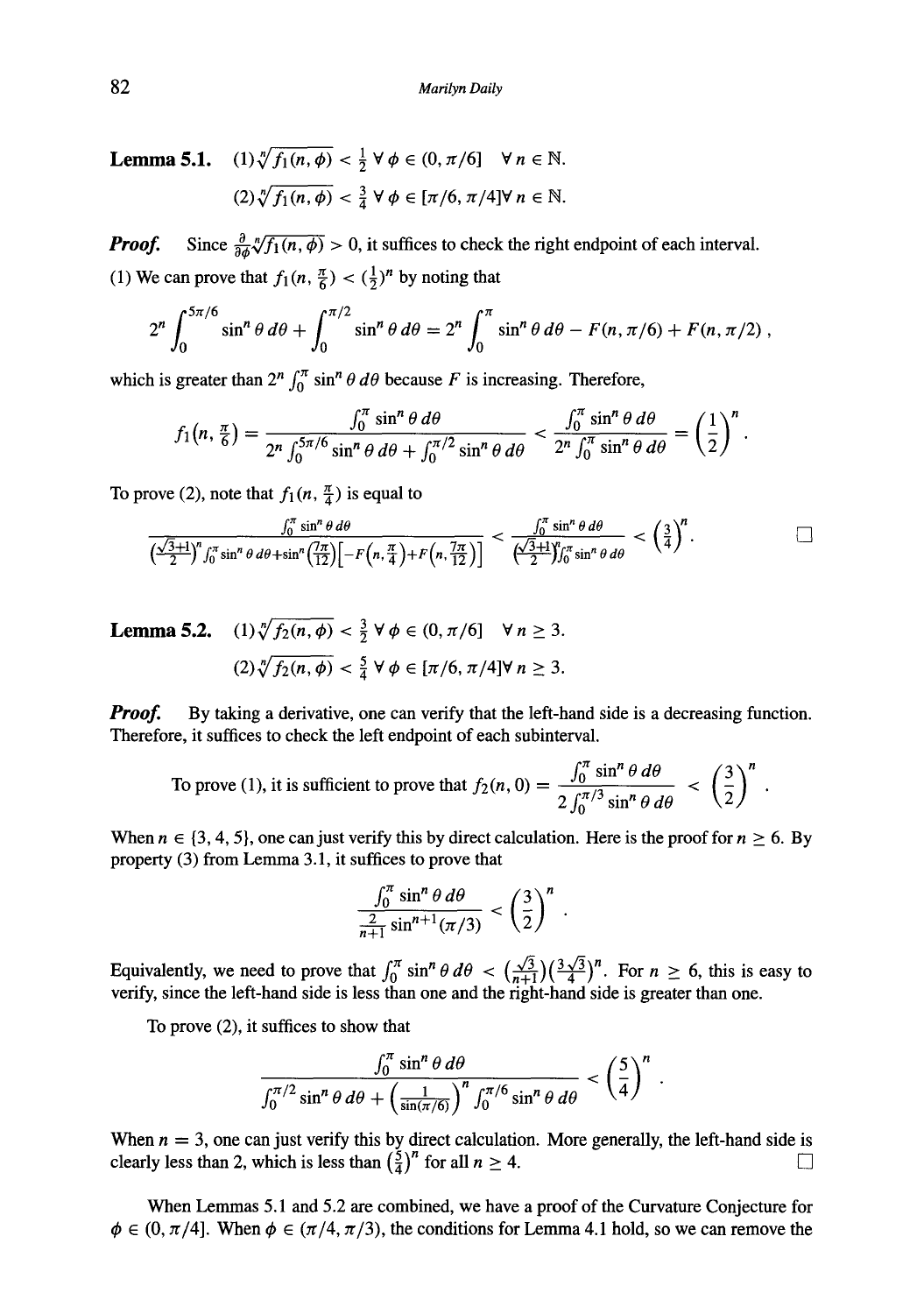**Lemma 5.1.**  $(1) \sqrt[n]{f_1(n, \phi)} < \frac{1}{2} \forall \phi \in (0, \pi/6] \forall n \in \mathbb{N}$ .  $(2) \sqrt[n]{f_1(n, \phi)} < \frac{3}{4} \forall \phi \in [\pi/6, \pi/4] \forall n \in \mathbb{N}.$ 

*Proof.* Since  $\frac{\partial}{\partial \phi} \sqrt[n]{f_1(n, \phi)} > 0$ , it suffices to check the right endpoint of each interval. (1) We can prove that  $f_1(n, \frac{\pi}{6}) < (\frac{1}{2})^n$  by noting that

$$
2^{n} \int_{0}^{5\pi/6} \sin^{n} \theta \, d\theta + \int_{0}^{\pi/2} \sin^{n} \theta \, d\theta = 2^{n} \int_{0}^{\pi} \sin^{n} \theta \, d\theta - F(n, \pi/6) + F(n, \pi/2) \, ,
$$

which is greater than  $2^n \int_0^{\pi} \sin^n \theta \, d\theta$  because F is increasing. Therefore,

$$
f_1(n,\frac{\pi}{6})=\frac{\int_0^{\pi}\sin^n\theta\,d\theta}{2^n\int_0^{5\pi/6}\sin^n\theta\,d\theta+\int_0^{\pi/2}\sin^n\theta\,d\theta}<\frac{\int_0^{\pi}\sin^n\theta\,d\theta}{2^n\int_0^{\pi}\sin^n\theta\,d\theta}=\left(\frac{1}{2}\right)^n.
$$

To prove (2), note that  $f_1(n, \frac{\pi}{4})$  is equal to

$$
\frac{\int_0^{\pi} \sin^n \theta \, d\theta}{\left(\frac{\sqrt{3}+1}{2}\right)^n \int_0^{\pi} \sin^n \theta \, d\theta + \sin^n \left(\frac{7\pi}{12}\right)\left[-F\left(n,\frac{\pi}{4}\right)+F\left(n,\frac{7\pi}{12}\right)\right]} < \frac{\int_0^{\pi} \sin^n \theta \, d\theta}{\left(\frac{\sqrt{3}+1}{2}\right)^n \int_0^{\pi} \sin^n \theta \, d\theta} < \left(\frac{3}{4}\right)^n.
$$

**Lemma 5.2.** (1) 
$$
\sqrt[n]{f_2(n, \phi)} < \frac{3}{2} \forall \phi \in (0, \pi/6] \forall n \ge 3.
$$
  
(2)  $\sqrt[n]{f_2(n, \phi)} < \frac{5}{4} \forall \phi \in [\pi/6, \pi/4] \forall n \ge 3.$ 

*Proof.* By taking a derivative, one can verify that the left-hand side is a decreasing function. Therefore, it suffices to check the left endpoint of each subinterval.

To prove (1), it is sufficient to prove that 
$$
f_2(n, 0) = \frac{\int_0^{\pi} \sin^n \theta \, d\theta}{2 \int_0^{\pi/3} \sin^n \theta \, d\theta} < \left(\frac{3}{2}\right)^n
$$

When  $n \in \{3, 4, 5\}$ , one can just verify this by direct calculation. Here is the proof for  $n \ge 6$ . By property (3) from Lemma 3.1, it suffices to prove that

$$
\frac{\int_0^{\pi} \sin^n \theta \, d\theta}{\frac{2}{n+1} \sin^{n+1}(\pi/3)} < \left(\frac{3}{2}\right)^n \, .
$$

Equivalently, we need to prove that  $\int_0^k \sin^n \theta \, d\theta \leq (\frac{\sqrt{3}}{n+1}) (\frac{3\sqrt{3}}{4})^n$ . For  $n \geq 6$ , this is easy to verify, since the left-hand side is less than one and the right-hand side is greater than one.

To prove (2), it suffices to show that

$$
\frac{\int_0^{\pi} \sin^n \theta \, d\theta}{\int_0^{\pi/2} \sin^n \theta \, d\theta + \left(\frac{1}{\sin(\pi/6)}\right)^n \int_0^{\pi/6} \sin^n \theta \, d\theta} < \left(\frac{5}{4}\right)^n.
$$

When  $n = 3$ , one can just verify this by direct calculation. More generally, the left-hand side is clearly less than 2, which is less than  $(\frac{5}{4})^n$  for all  $n \ge 4$ .

When Lemmas 5.1 and 5.2 are combined, we have a proof of the Curvature Conjecture for  $\phi \in (0, \pi/4]$ . When  $\phi \in (\pi/4, \pi/3)$ , the conditions for Lemma 4.1 hold, so we can remove the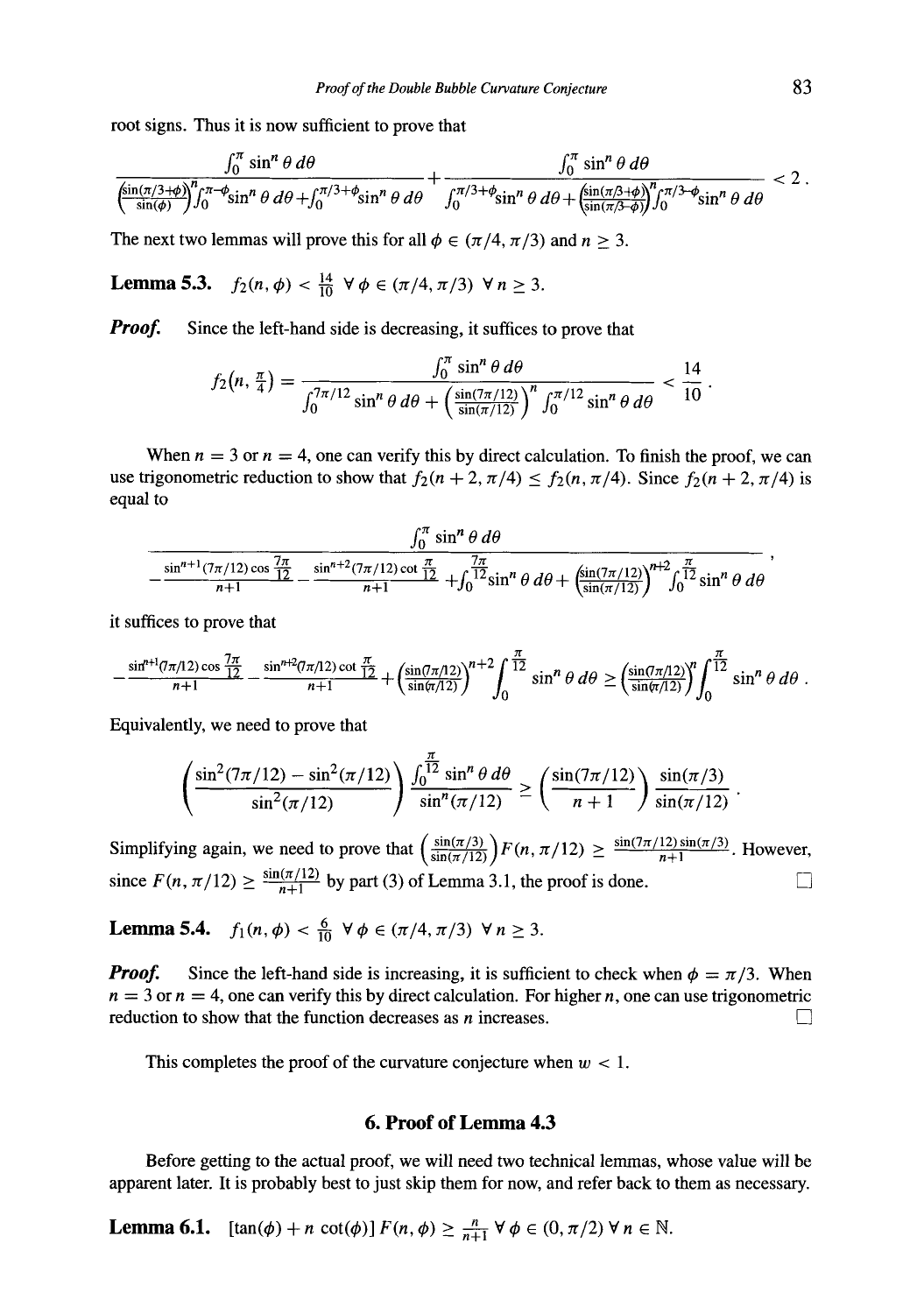root signs. Thus it is now sufficient to prove that

$$
\frac{\int_0^{\pi} \sin^n \theta \, d\theta}{\left(\frac{\sin(\pi/3+\phi)}{\sin(\phi)}\right)^n \int_0^{\pi-\phi} \sin^n \theta \, d\theta + \int_0^{\pi/3+\phi} \sin^n \theta \, d\theta} + \frac{\int_0^{\pi} \sin^n \theta \, d\theta}{\int_0^{\pi/3+\phi} \sin^n \theta \, d\theta + \left(\frac{\sin(\pi/3+\phi)}{\sin(\pi/3+\phi)}\right)^n \int_0^{\pi/3-\phi} \sin^n \theta \, d\theta} < 2
$$

The next two lemmas will prove this for all  $\phi \in (\pi/4, \pi/3)$  and  $n > 3$ .

**Lemma 5.3.**  $f_2(n, \phi) < \frac{14}{10} \ \forall \phi \in (\pi/4, \pi/3) \ \forall n \geq 3.$ 

*Proof.* Since the left-hand side is decreasing, it suffices to prove that

$$
f_2(n, \frac{\pi}{4}) = \frac{\int_0^{\pi} \sin^n \theta \, d\theta}{\int_0^{\pi/12} \sin^n \theta \, d\theta + \left(\frac{\sin((7\pi/12)}{\sin(\pi/12)}\right)^n \int_0^{\pi/12} \sin^n \theta \, d\theta} < \frac{14}{10}
$$

When  $n = 3$  or  $n = 4$ , one can verify this by direct calculation. To finish the proof, we can use trigonometric reduction to show that  $f_2(n + 2, \pi/4) \le f_2(n, \pi/4)$ . Since  $f_2(n + 2, \pi/4)$  is equal to

$$
\frac{\int_0^{\pi} \sin^n \theta \, d\theta}{-\frac{\sin^{n+1} (7\pi/12) \cos \frac{7\pi}{12}}{n+1} - \frac{\sin^{n+2} (7\pi/12) \cot \frac{\pi}{12}}{n+1} + \int_0^{\frac{7\pi}{12}} \sin^n \theta \, d\theta + \left(\frac{\sin (7\pi/12)}{\sin (\pi/12)}\right)^{n+2} \int_0^{\frac{\pi}{12}} \sin^n \theta \, d\theta}
$$

it suffices to prove that

$$
-\frac{\sin^{n+1}(\pi/12)\cos\frac{7\pi}{12}}{n+1}-\frac{\sin^{n+2}(\pi/12)\cot\frac{\pi}{12}}{n+1}+\left(\frac{\sin(\pi/12)}{\sin(\pi/12)}\right)^{n+2}\int_0^{\frac{\pi}{12}}\sin^n\theta\,d\theta\geq \left(\frac{\sin(\pi/12)}{\sin(\pi/12)}\right)^n\int_0^{\frac{\pi}{12}}\sin^n\theta\,d\theta.
$$

Equivalently, we need to prove that

$$
\left(\frac{\sin^2(7\pi/12) - \sin^2(\pi/12)}{\sin^2(\pi/12)}\right) \frac{\int_0^{\frac{\pi}{12}} \sin^n \theta \, d\theta}{\sin^n(\pi/12)} \ge \left(\frac{\sin(7\pi/12)}{n+1}\right) \frac{\sin(\pi/3)}{\sin(\pi/12)}
$$

Simplifying again, we need to prove that  $\left(\frac{\sin(\pi/3)}{\sin(\pi/12)}\right) F(n, \pi/12) \ge \frac{\sin(7\pi/12)\sin(\pi/3)}{n+1}$ . However, since  $F(n, \pi/12) \ge \frac{\sin(\pi/12)}{n+1}$  by part (3) of Lemma 3.1, the proof is done.  $\Box$ 

**Lemma 5.4.**  $f_1(n, \phi) < \frac{6}{10} \ \forall \phi \in (\pi/4, \pi/3) \ \forall n \geq 3.$ 

*Proof.* Since the left-hand side is increasing, it is sufficient to check when  $\phi = \pi/3$ . When  $n = 3$  or  $n = 4$ , one can verify this by direct calculation. For higher n, one can use trigonometric reduction to show that the function decreases as  $n$  increases.

This completes the proof of the curvature conjecture when  $w < 1$ .

### **6. Proof of Lemma 4.3**

Before getting to the actual proof, we will need two technical lemmas, whose value will be apparent later. It is probably best to just skip them for now, and refer back to them as necessary.

**Lemma 6.1.**  $[\tan(\phi) + n \cot(\phi)] F(n, \phi) \ge \frac{n}{n+1} \forall \phi \in (0, \pi/2) \forall n \in \mathbb{N}.$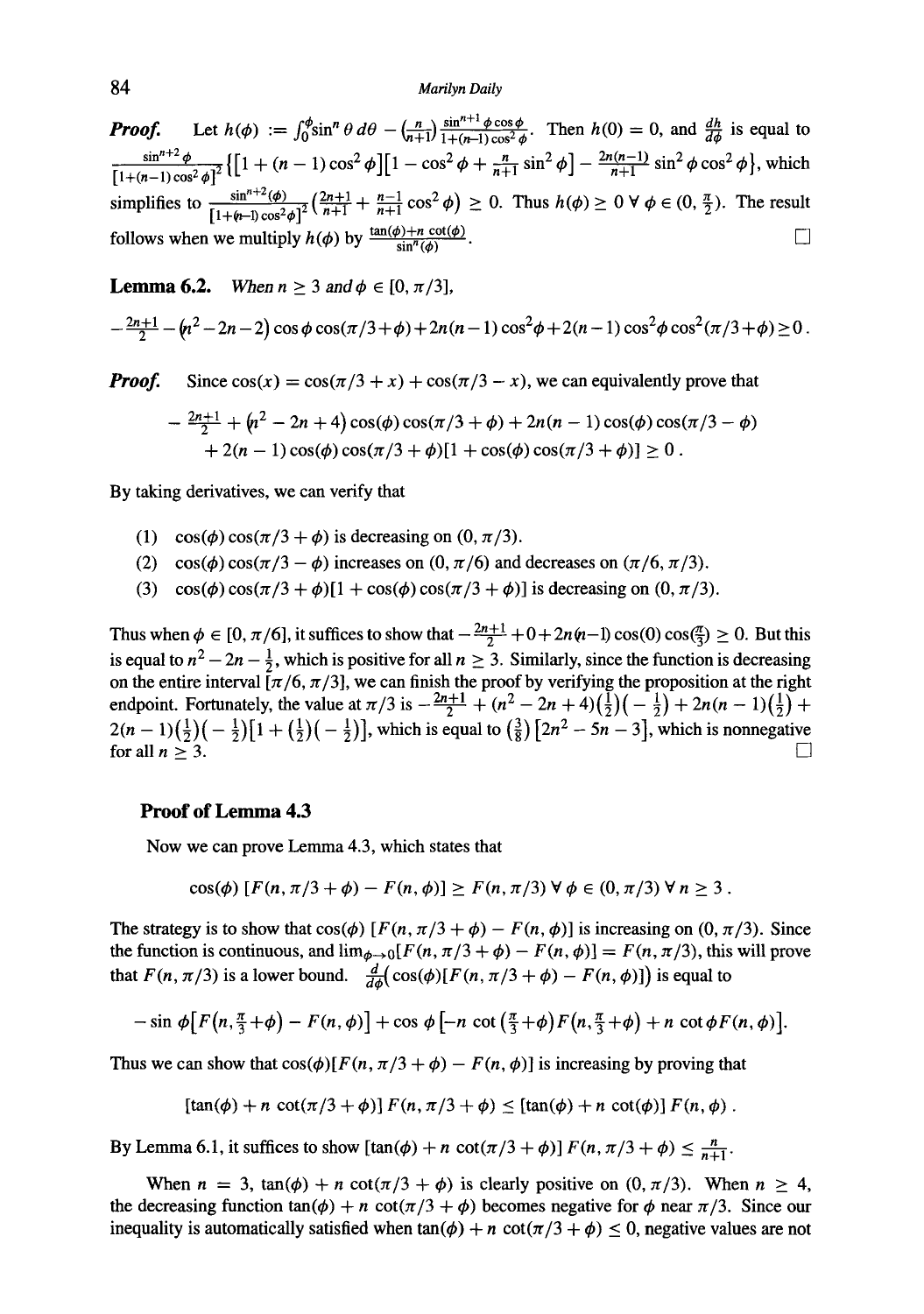### 84 *Marilyn Daily*

**Proof.** Let  $h(\phi) := \int_0^{\phi} \sin^n \theta \, d\theta - \left(\frac{n}{n+1}\right) \frac{\sin^{n} \phi \cos \phi}{1 + (n-1)\cos^2 \phi}$ . Then  $h(0) = 0$ , and  $\frac{dh}{d\phi}$  is equal to  $\frac{\sin^{n+2}\phi}{\sin^{n+2}\phi} \left\{ \left[1 + (n-1)\cos^2\phi\right] \left[1 - \cos^2\phi + \frac{n}{n+1}\sin^2\phi\right] - \frac{2n(n-1)}{n+1}\sin^2\phi\cos^2\phi \right\}$ , which simplifies to  $\frac{\sin^{n+\epsilon}(\phi)}{\sqrt{1+(\epsilon-1)\cos^2\phi^2}}\left(\frac{2n+1}{n+1} + \frac{n-1}{n+1}\cos^2\phi\right) \geq 0$ . Thus  $h(\phi) \geq 0 \ \forall \ \phi \in (0, \frac{\pi}{2})$ . The result follows when we multiply  $h(\phi)$  by  $\frac{\tan(\phi)+n \cot(\phi)}{\sin^{n}(\phi)}$ .

**Lemma 6.2.** *When*  $n \geq 3$  *and*  $\phi \in [0, \pi/3]$ ,

$$
-\frac{2n+1}{2}-(n^2-2n-2)\cos\phi\cos(\pi/3+\phi)+2n(n-1)\cos^2\phi+2(n-1)\cos^2\phi\cos^2(\pi/3+\phi)\geq 0.
$$

*Proof.* Since  $\cos(x) = \cos(\pi/3 + x) + \cos(\pi/3 - x)$ , we can equivalently prove that

$$
-\frac{2n+1}{2} + (n^2 - 2n + 4)\cos(\phi)\cos(\pi/3 + \phi) + 2n(n-1)\cos(\phi)\cos(\pi/3 - \phi) + 2(n-1)\cos(\phi)\cos(\pi/3 + \phi)[1 + \cos(\phi)\cos(\pi/3 + \phi)] \ge 0.
$$

By taking derivatives, we can verify that

- (1) cos( $\phi$ ) cos( $\pi/3 + \phi$ ) is decreasing on (0,  $\pi/3$ ).
- (2) cos( $\phi$ ) cos( $\pi/3 \phi$ ) increases on (0,  $\pi/6$ ) and decreases on ( $\pi/6$ ,  $\pi/3$ ).
- (3) cos( $\phi$ ) cos( $\pi/3 + \phi$ )[1 + cos( $\phi$ ) cos( $\pi/3 + \phi$ )] is decreasing on (0,  $\pi/3$ ).

Thus when  $\phi \in [0, \pi/6]$ , it suffices to show that  $-\frac{2n+1}{2} + 0 + 2n(n-1)\cos(0)\cos(\frac{\pi}{3}) \geq 0$ . But this is equal to  $n^2 - 2n - \frac{1}{2}$ , which is positive for all  $n \ge 3$ . Similarly, since the function is decreasing on the entire interval  $[\pi/6, \pi/3]$ , we can finish the proof by verifying the proposition at the right endpoint. Fortunately, the value at  $\pi/3$  is  $-\frac{2n+1}{2} + (n^2 - 2n + 4)(\frac{1}{2})(-\frac{1}{2}) + 2n(n-1)(\frac{1}{2}) +$  $2(n - 1)(\frac{1}{2})(-\frac{1}{2})[1 + (\frac{1}{2})(-\frac{1}{2})]$ , which is equal to  $(\frac{3}{8})[2n^2 - 5n - 3]$ , which is nonnegative for all  $n > 3$ .

#### **Proof of Lemma 4.3**

Now we can prove Lemma 4.3, which states that

$$
cos(\phi) [F(n, \pi/3 + \phi) - F(n, \phi)] \geq F(n, \pi/3) \forall \phi \in (0, \pi/3) \forall n \geq 3.
$$

The strategy is to show that  $cos(\phi)$  [ $F(n, \pi/3 + \phi) - F(n, \phi)$ ] is increasing on  $(0, \pi/3)$ . Since the function is continuous, and  $\lim_{\phi \to 0} [F(n, \pi/3 + \phi) - F(n, \phi)] = F(n, \pi/3)$ , this will prove that  $F(n, \pi/3)$  is a lower bound.  $\frac{d}{d\phi}(\cos(\phi)[F(n, \pi/3 + \phi) - F(n, \phi)])$  is equal to

$$
-\sin \phi \big[F\big(n, \frac{\pi}{3}+\phi\big)-F(n, \phi)\big]+\cos \phi \big[-n \cot \big(\frac{\pi}{3}+\phi\big)F\big(n, \frac{\pi}{3}+\phi\big)+n \cot \phi F(n, \phi)\big].
$$

Thus we can show that  $cos(\phi)[F(n, \pi/3 + \phi) - F(n, \phi)]$  is increasing by proving that

$$
[\tan(\phi) + n \cot(\pi/3 + \phi)] F(n, \pi/3 + \phi) \leq [\tan(\phi) + n \cot(\phi)] F(n, \phi).
$$

By Lemma 6.1, it suffices to show  $[\tan(\phi) + n \cot(\pi/3 + \phi)] F(n, \pi/3 + \phi) \le \frac{n}{n+1}$ .

When  $n = 3$ ,  $\tan(\phi) + n \cot(\pi/3 + \phi)$  is clearly positive on  $(0, \pi/3)$ . When  $n \ge 4$ , the decreasing function  $tan(\phi) + n cot(\pi/3 + \phi)$  becomes negative for  $\phi$  near  $\pi/3$ . Since our inequality is automatically satisfied when  $tan(\phi) + n cot(\pi/3 + \phi) \le 0$ , negative values are not